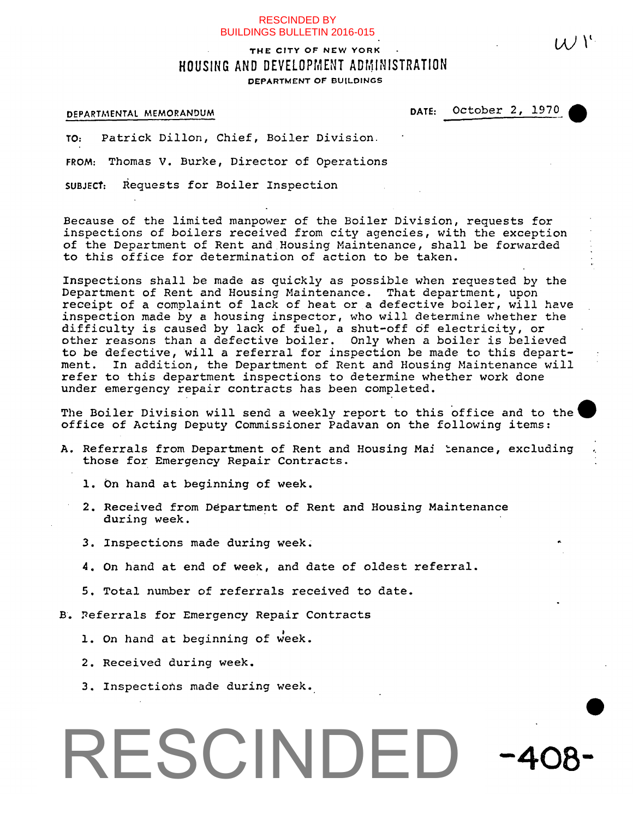### RESCINDED BY BUILDINGS BULLETIN 2016-015

# THE CITY OF NEW YORK  $\mathcal{U}$ HOUSING AND DEVELOPMENT ADMINISTRATION **DEPARTMENT OF BUILDINGS**

## DEPARTMENTAL MEMORANDUM DATE: October 2, 1970

TO: Patrick Dillon, Chief, Boiler Division.

FROM: Thomas V. Burke, Director of Operations

SUBJECT: Requests for Boiler Inspection

Because of the limited manpower of the Boiler Division, requests for inspections of boilers received from city agencies, with the exception of the Department of Rent and.Housing Maintenance, shall be forwarded to this office for determination of action to be taken.

Inspections shall be made as quickly as possible when requested by the Department of Rent and Housing Maintenance. That department, upon receipt of a complaint of lack of heat or a defective boiler, will have inspection made by a housing inspector, who will determine whether the difficulty is caused by lack of fuel, a shut-off of electricity, or other reasons than a defective boiler. Only when a boiler is believed to be defective, will a referral for inspection be made to this department. In addition, the Department of Rent and Housing Maintenance will refer to this department inspections to determine whether work done under emergency repair contracts has been completed.

The Boiler Division will send a weekly report to this office and to the office of Acting Deputy Commissioner Padavan on the following items:

- A. Referrals from Department of Rent and Housing Mai ienance, excluding those for Emergency Repair Contracts.
	- 1. On hand at beginning of week.
	- 2. Received from Department of Rent and Housing Maintenance during week.
	- 3. Inspections made during week.
	- 4. On hand at end of week, and date of oldest referral.
	- 5, Total number of referrals received to date.
- B. Referrals for Emergency Repair Contracts
	- 1. On hand at beginning of week.
	- 2. Received during week.
	- 3. Inspections made during week.

# **408-** RESCINDED